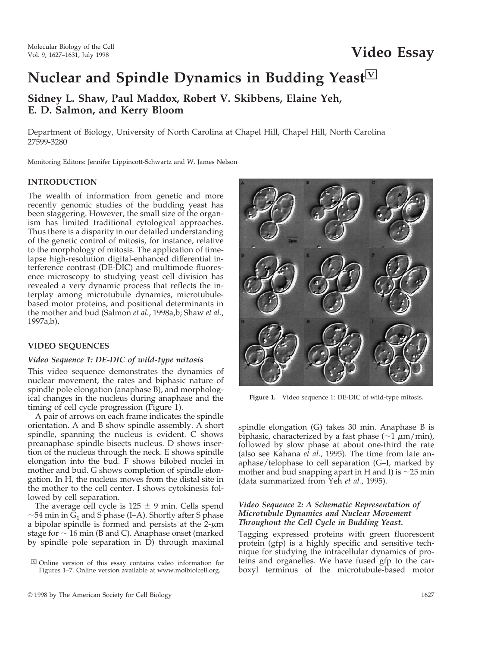# **Nuclear and Spindle Dynamics in Budding Yeast**<sup>[ $V$ ]</sup>

**Sidney L. Shaw, Paul Maddox, Robert V. Skibbens, Elaine Yeh, E. D. Salmon, and Kerry Bloom**

Department of Biology, University of North Carolina at Chapel Hill, Chapel Hill, North Carolina 27599-3280

Monitoring Editors: Jennifer Lippincott-Schwartz and W. James Nelson

#### **INTRODUCTION**

The wealth of information from genetic and more recently genomic studies of the budding yeast has been staggering. However, the small size of the organism has limited traditional cytological approaches. Thus there is a disparity in our detailed understanding of the genetic control of mitosis, for instance, relative to the morphology of mitosis. The application of timelapse high-resolution digital-enhanced differential interference contrast (DE-DIC) and multimode fluoresence microscopy to studying yeast cell division has revealed a very dynamic process that reflects the interplay among microtubule dynamics, microtubulebased motor proteins, and positional determinants in the mother and bud (Salmon *et al.*, 1998a,b; Shaw *et al.*, 1997a,b).

# **VIDEO SEQUENCES**

#### *Video Sequence 1: DE-DIC of wild-type mitosis*

This video sequence demonstrates the dynamics of nuclear movement, the rates and biphasic nature of spindle pole elongation (anaphase B), and morphological changes in the nucleus during anaphase and the timing of cell cycle progression (Figure 1).

A pair of arrows on each frame indicates the spindle orientation. A and B show spindle assembly. A short spindle, spanning the nucleus is evident. C shows preanaphase spindle bisects nucleus. D shows insertion of the nucleus through the neck. E shows spindle elongation into the bud. F shows bilobed nuclei in mother and bud. G shows completion of spindle elongation. In H, the nucleus moves from the distal site in the mother to the cell center. I shows cytokinesis followed by cell separation.

The average cell cycle is  $125 \pm 9$  min. Cells spend  $\sim$ 54 min in G<sub>1</sub> and S phase (I–A). Shortly after S phase a bipolar spindle is formed and persists at the  $2-\mu m$ stage for  $\sim$  16 min (B and C). Anaphase onset (marked by spindle pole separation in D) through maximal



**Figure 1.** Video sequence 1: DE-DIC of wild-type mitosis.

spindle elongation (G) takes 30 min. Anaphase B is biphasic, characterized by a fast phase  $(\sim 1 \mu m/min)$ , followed by slow phase at about one-third the rate (also see Kahana *et al.*, 1995). The time from late anaphase/telophase to cell separation (G–I, marked by mother and bud snapping apart in H and I) is  $\sim$ 25 min (data summarized from Yeh *et al.*, 1995).

# *Video Sequence 2: A Schematic Representation of Microtubule Dynamics and Nuclear Movement Throughout the Cell Cycle in Budding Yeast.*

Tagging expressed proteins with green fluorescent protein (gfp) is a highly specific and sensitive technique for studying the intracellular dynamics of proteins and organelles. We have fused gfp to the carboxyl terminus of the microtubule-based motor

 $\boxdot$  Online version of this essay contains video information for Figures 1–7. Online version available at www.molbiolcell.org.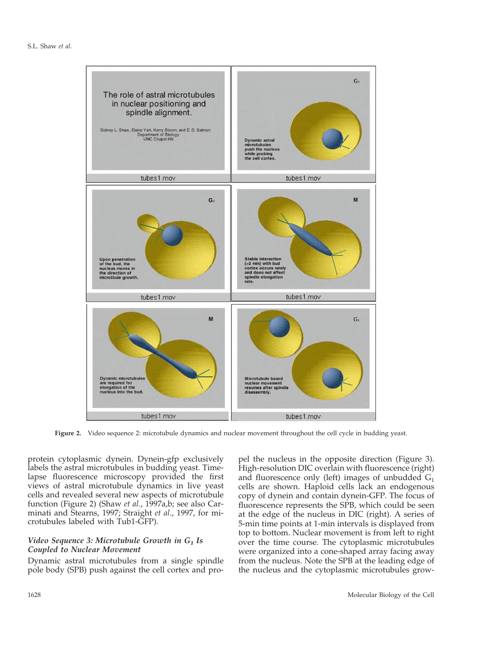

**Figure 2.** Video sequence 2: microtubule dynamics and nuclear movement throughout the cell cycle in budding yeast.

protein cytoplasmic dynein. Dynein-gfp exclusively labels the astral microtubules in budding yeast. Timelapse fluorescence microscopy provided the first views of astral microtubule dynamics in live yeast cells and revealed several new aspects of microtubule function (Figure 2) (Shaw *et al.*, 1997a,b; see also Carminati and Stearns, 1997; Straight *et al*., 1997, for microtubules labeled with Tub1-GFP).

## *Video Sequence 3: Microtubule Growth in G1 Is Coupled to Nuclear Movement*

Dynamic astral microtubules from a single spindle pole body (SPB) push against the cell cortex and propel the nucleus in the opposite direction (Figure 3). High-resolution DIC overlain with fluorescence (right) and fluorescence only (left) images of unbudded  $G_1$ cells are shown. Haploid cells lack an endogenous copy of dynein and contain dynein-GFP. The focus of fluorescence represents the SPB, which could be seen at the edge of the nucleus in DIC (right). A series of 5-min time points at 1-min intervals is displayed from top to bottom. Nuclear movement is from left to right over the time course. The cytoplasmic microtubules were organized into a cone-shaped array facing away from the nucleus. Note the SPB at the leading edge of the nucleus and the cytoplasmic microtubules grow-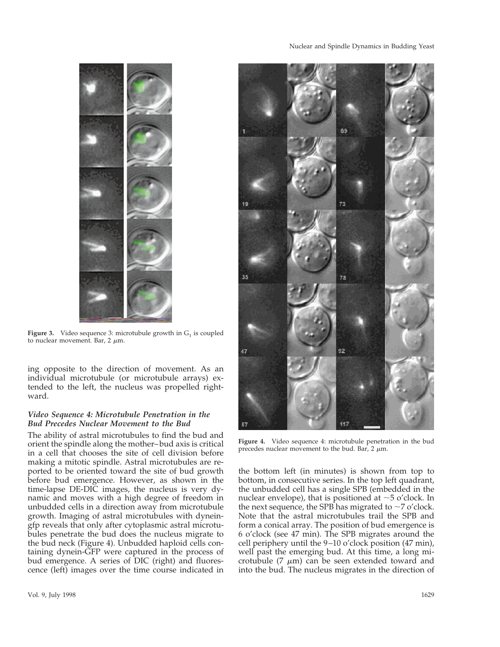

**Figure 3.** Video sequence 3: microtubule growth in  $G_1$  is coupled to nuclear movement. Bar,  $2 \mu m$ .

ing opposite to the direction of movement. As an individual microtubule (or microtubule arrays) extended to the left, the nucleus was propelled rightward.

## *Video Sequence 4: Microtubule Penetration in the Bud Precedes Nuclear Movement to the Bud*

The ability of astral microtubules to find the bud and orient the spindle along the mother–bud axis is critical in a cell that chooses the site of cell division before making a mitotic spindle. Astral microtubules are reported to be oriented toward the site of bud growth before bud emergence. However, as shown in the time-lapse DE-DIC images, the nucleus is very dynamic and moves with a high degree of freedom in unbudded cells in a direction away from microtubule growth. Imaging of astral microtubules with dyneingfp reveals that only after cytoplasmic astral microtubules penetrate the bud does the nucleus migrate to the bud neck (Figure 4). Unbudded haploid cells containing dynein-GFP were captured in the process of bud emergence. A series of DIC (right) and fluorescence (left) images over the time course indicated in



**Figure 4.** Video sequence 4: microtubule penetration in the bud precedes nuclear movement to the bud. Bar,  $2 \mu m$ .

the bottom left (in minutes) is shown from top to bottom, in consecutive series. In the top left quadrant, the unbudded cell has a single SPB (embedded in the nuclear envelope), that is positioned at  $\sim$ 5 o'clock. In the next sequence, the SPB has migrated to  $\sim$ 7 o'clock. Note that the astral microtubules trail the SPB and form a conical array. The position of bud emergence is 6 o'clock (see 47 min). The SPB migrates around the cell periphery until the 9–10 o'clock position (47 min), well past the emerging bud. At this time, a long microtubule  $(7 \mu m)$  can be seen extended toward and into the bud. The nucleus migrates in the direction of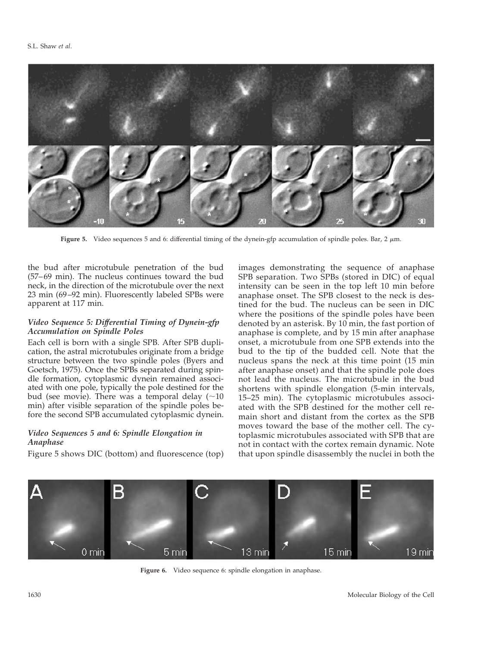

Figure 5. Video sequences 5 and 6: differential timing of the dynein-gfp accumulation of spindle poles. Bar, 2  $\mu$ m.

the bud after microtubule penetration of the bud (57–69 min). The nucleus continues toward the bud neck, in the direction of the microtubule over the next 23 min (69–92 min). Fluorescently labeled SPBs were apparent at 117 min.

# *Video Sequence 5: Differential Timing of Dynein-gfp Accumulation on Spindle Poles*

Each cell is born with a single SPB. After SPB duplication, the astral microtubules originate from a bridge structure between the two spindle poles (Byers and Goetsch, 1975). Once the SPBs separated during spindle formation, cytoplasmic dynein remained associated with one pole, typically the pole destined for the bud (see movie). There was a temporal delay  $(\sim 10$ min) after visible separation of the spindle poles before the second SPB accumulated cytoplasmic dynein.

# *Video Sequences 5 and 6: Spindle Elongation in Anaphase*

Figure 5 shows DIC (bottom) and fluorescence (top)

images demonstrating the sequence of anaphase SPB separation. Two SPBs (stored in DIC) of equal intensity can be seen in the top left 10 min before anaphase onset. The SPB closest to the neck is destined for the bud. The nucleus can be seen in DIC where the positions of the spindle poles have been denoted by an asterisk. By 10 min, the fast portion of anaphase is complete, and by 15 min after anaphase onset, a microtubule from one SPB extends into the bud to the tip of the budded cell. Note that the nucleus spans the neck at this time point (15 min after anaphase onset) and that the spindle pole does not lead the nucleus. The microtubule in the bud shortens with spindle elongation (5-min intervals, 15–25 min). The cytoplasmic microtubules associated with the SPB destined for the mother cell remain short and distant from the cortex as the SPB moves toward the base of the mother cell. The cytoplasmic microtubules associated with SPB that are not in contact with the cortex remain dynamic. Note that upon spindle disassembly the nuclei in both the



**Figure 6.** Video sequence 6: spindle elongation in anaphase.